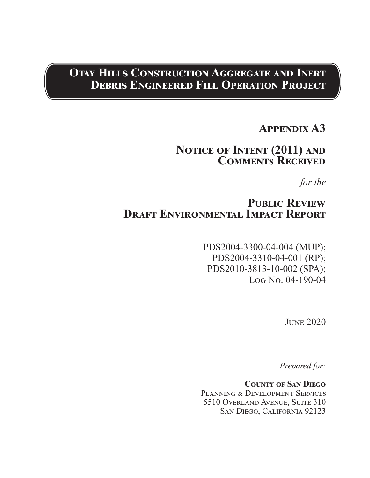# **Otay Hills Construction Aggregate and Inert Debris Engineered Fill Operation Project**

# **Appendix A3**

## **Notice of Intent (2011) and Comments Received**

*for the*

## PUBLIC REVIEW **DRAFT ENVIRONMENTAL IMPACT REPORT**

PDS2004-3300-04-004 (MUP); PDS2004-3310-04-001 (RP); PDS2010-3813-10-002 (SPA); Log No. 04-190-04

June 2020

*Prepared for:*

**County of San Diego** PLANNING & DEVELOPMENT SERVICES 5510 Overland Avenue, Suite 310 San Diego, California 92123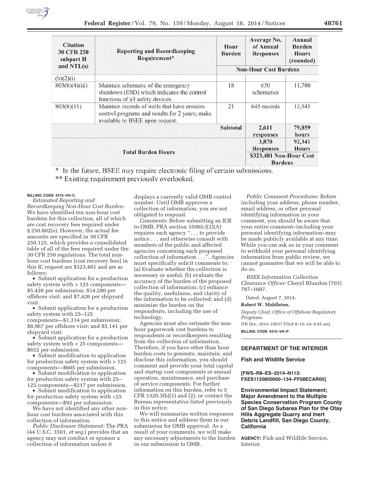| <b>Citation</b><br><b>30 CFR 250</b><br>subpart H<br>and $NTL(s)$ | <b>Reporting and Recordkeeping</b><br>Requirement*                                                                                | Hour<br><b>Burden</b>        | Average No.<br>of Annual<br><b>Responses</b> | Annual<br><b>Burden</b><br><b>Hours</b><br>(rounded) |
|-------------------------------------------------------------------|-----------------------------------------------------------------------------------------------------------------------------------|------------------------------|----------------------------------------------|------------------------------------------------------|
|                                                                   |                                                                                                                                   | <b>Non-Hour Cost Burdens</b> |                                              |                                                      |
| (b)(2)(i)                                                         |                                                                                                                                   |                              |                                              |                                                      |
| 803(b)(4)(iii)                                                    | Maintain schematic of the emergency<br>shutdown (ESD) which indicates the control<br>functions of all safety devices.             | 18                           | 650<br>schematics                            | 11,700                                               |
| 803(b)(11)                                                        | Maintain records of wells that have erosion-<br>control programs and results for 2 years; make<br>available to BSEE upon request. | 21                           | 645 records                                  | 13,545                                               |
| <b>Subtotal</b>                                                   |                                                                                                                                   |                              | 2,611<br>responses                           | 79,859<br>hours                                      |
| <b>Total Burden Hours</b>                                         |                                                                                                                                   |                              | 3,870<br><b>Responses</b>                    | 92,341<br><b>Hours</b>                               |
|                                                                   |                                                                                                                                   |                              | \$323,481 Non-Hour Cost<br><b>Burdens</b>    |                                                      |

\* In the future, BSEE may require electronic filing of certain submissions. \*\* Existing requirement previously overlooked.

### **BILLING CODE 4310–VH–C**

*Estimated Reporting and Recordkeeping Non-Hour Cost Burden:*  We have identified ten non-hour cost burdens for this collection, all of which are cost recovery fees required under § 250.802(e). However, the actual fee amounts are specified in 30 CFR 250.125, which provides a consolidated table of all of the fees required under the 30 CFR 250 regulations. The total nonhour cost burdens (cost recovery fees) in this IC request are \$323,481 and are as follows:

• Submit application for a production safety system with > 125 components— \$5,426 per submission; \$14,280 per offshore visit; and \$7,426 per shipyard visit.

• Submit application for a production safety system with 25–125 components—\$1,314 per submission; \$8,967 per offshore visit; and \$5,141 per shipyard visit.

• Submit application for a production safety system with < 25 components— \$652 per submission.

• Submit modification to application for production safety system with > 125 components—\$605 per submission.

• Submit modification to application for production safety system with 25– 125 components—\$217 per submission.

• Submit modification to application for production safety system with <25 components—\$92 per submission.

We have not identified any other nonhour cost burdens associated with this collection of information.

*Public Disclosure Statement:* The PRA (44 U.S.C. 3501, *et seq.*) provides that an agency may not conduct or sponsor a collection of information unless it

displays a currently valid OMB control number. Until OMB approves a collection of information, you are not obligated to respond.

*Comments:* Before submitting an ICR to OMB, PRA section  $3506(c)(2)(A)$ requires each agency ''. . . to provide notice . . . and otherwise consult with members of the public and affected agencies concerning each proposed collection of information . . .''. Agencies must specifically solicit comments to: (a) Evaluate whether the collection is necessary or useful; (b) evaluate the accuracy of the burden of the proposed collection of information; (c) enhance the quality, usefulness, and clarity of the information to be collected; and (d) minimize the burden on the respondents, including the use of technology.

Agencies must also estimate the nonhour paperwork cost burdens to respondents or recordkeepers resulting from the collection of information. Therefore, if you have other than hour burden costs to generate, maintain, and disclose this information, you should comment and provide your total capital and startup cost components or annual operation, maintenance, and purchase of service components. For further information on this burden, refer to 5 CFR 1320.3(b)(1) and (2), or contact the Bureau representative listed previously in this notice.

We will summarize written responses to this notice and address them in our submission for OMB approval. As a result of your comments, we will make any necessary adjustments to the burden in our submission to OMB.

*Public Comment Procedures:* Before including your address, phone number, email address, or other personal identifying information in your comment, you should be aware that your entire comment–including your personal identifying information–may be made publicly available at any time. While you can ask us in your comment to withhold your personal identifying information from public review, we cannot guarantee that we will be able to do so.

*BSEE Information Collection Clearance Officer:* Cheryl Blundon (703) 787–1607.

Dated: August 7, 2014.

#### **Robert W. Middleton,**

*Deputy Chief, Office of Offshore Regulatory Programs.* 

[FR Doc. 2014–19537 Filed 8–15–14; 8:45 am] **BILLING CODE 4310–VH–P** 

#### **DEPARTMENT OF THE INTERIOR**

#### **Fish and Wildlife Service**

**[FWS–R8–ES–2014–N113: FXES1120800000–134–FF08ECAR00]** 

**Environmental Impact Statement; Major Amendment to the Multiple Species Conservation Program County of San Diego Subarea Plan for the Otay Hills Aggregate Quarry and Inert Debris Landfill, San Diego County, California** 

**AGENCY:** Fish and Wildlife Service, **Interior**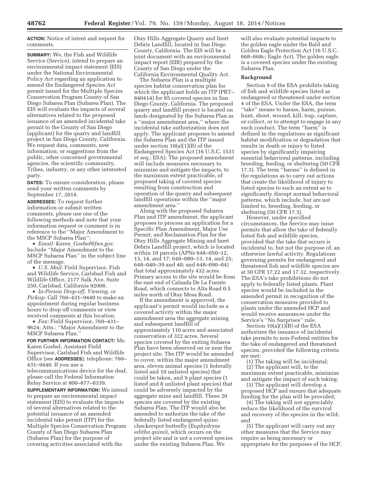**ACTION:** Notice of intent and request for comments.

**SUMMARY:** We, the Fish and Wildlife Service (Service), intend to prepare an environmental impact statement (EIS) under the National Environmental Policy Act regarding an application to amend the Endangered Species Act permit issued for the Multiple Species Conservation Program County of San Diego Subarea Plan (Subarea Plan). The EIS will evaluate the impacts of several alternatives related to the proposed issuance of an amended incidental take permit to the County of San Diego (applicant) for the quarry and landfill project in San Diego County, California. We request data, comments, new information, or suggestions from the public, other concerned governmental agencies, the scientific community, Tribes, industry, or any other interested party.

**DATES:** To ensure consideration, please send your written comments by September 17, 2014.

**ADDRESSES:** To request further information or submit written comments, please use one of the following methods and note that your information request or comment is in reference to the ''Major Amendment to the MSCP Subarea Plan'':

• *Email: Karen*\_*Goebel@fws.gov.*  Include ''Major Amendment to the MSCP Subarea Plan'' in the subject line of the message.

• *U.S. Mail:* Field Supervisor, Fish and Wildlife Service, Carlsbad Fish and Wildlife Office, 2177 Salk Ave, Suite 250, Carlsbad, California 92008.

• *In-Person Drop-off, Viewing, or Pickup:* Call 760–431–9440 to make an appointment during regular business hours to drop off comments or view received comments at this location.

• *Fax:* Field Supervisor, 760–431– 9624; Attn.: ''Major Amendment to the MSCP Subarea Plan.''

**FOR FURTHER INFORMATION CONTACT:** Ms. Karen Goebel, Assistant Field Supervisor, Carlsbad Fish and Wildlife Office (see **ADDRESSES**); telephone: 760– 431–9440. If you use a telecommunications device for the deaf, please call the Federal Information Relay Service at 800–877–8339.

**SUPPLEMENTARY INFORMATION:** We intend to prepare an environmental impact statement (EIS) to evaluate the impacts of several alternatives related to the potential issuance of an amended incidental take permit (ITP) for the Multiple Species Conservation Program County of San Diego Subarea Plan (Subarea Plan) for the purpose of covering activities associated with the

Otay Hills Aggregate Quarry and Inert Debris Landfill, located in San Diego County, California. The EIS will be a joint document with an environmental impact report (EIR) prepared by the County of San Diego under the California Environmental Quality Act.

The Subarea Plan is a multiple species habitat conservation plan for which the applicant holds an ITP (PRT– 840414) for 85 covered species in San Diego County, California. The proposed quarry and landfill project is located on lands designated by the Subarea Plan as a ''major amendment area,'' where the incidental take authorization does not apply. The applicant proposes to amend the Subarea Plan and the ITP issued under section 10(a)(1)(B) of the Endangered Species Act (16 U.S.C. 1531 *et seq.;* ESA). The proposed amendment will include measures necessary to minimize and mitigate the impacts, to the maximum extent practicable, of proposed taking of covered species resulting from construction and operation of the quarry and subsequent landfill operations within the ''major amendment area.''

Along with the proposed Subarea Plan and ITP amendment, the applicant proposes to process an application for a Specific Plan Amendment, Major Use Permit, and Reclamation Plan for the Otay Hills Aggregate Mining and Inert Debris Landfill project, which is located within 10 parcels (APNs 648–050–12, 13, 14, and 17; 648–080–13, 14, and 25; 648–040–39 and 40; and 648–090–04) that total approximately 432 acres. Primary access to the site would be from the east end of Calzada De La Fuente Road, which connects to Alta Road 0.5 miles north of Otay Mesa Road.

If the amendment is approved, the applicant's permit would include as a covered activity within the major amendment area the aggregate mining and subsequent landfill of approximately 110 acres and associated conservation of 322 acres. Several species covered by the exiting Subarea Plan have been observed on or near the project site. The ITP would be amended to cover, within the major amendment area, eleven animal species (1 federally listed and 10 unlisted species) that could be taken, and 9 plant species (1 listed and 8 unlisted plant species) that could be adversely impacted by the aggregate mine and landfill. These 20 species are covered by the existing Subarea Plan. The ITP would also be amended to authorize the take of the federally listed endangered quino checkerspot butterfly (*Euphydryas editha quino*), which occurs on the project site and is not a covered species under the existing Subarea Plan. We

will also evaluate potential impacts to the golden eagle under the Bald and Golden Eagle Protection Act (16 U.S.C. 668–668c; Eagle Act). The golden eagle is a covered species under the existing Subarea Plan.

#### **Background**

Section 9 of the ESA prohibits taking of fish and wildlife species listed as endangered or threatened under section 4 of the ESA. Under the ESA, the term ''take'' means to harass, harm, pursue, hunt, shoot, wound, kill, trap, capture, or collect, or to attempt to engage in any such conduct. The term "harm" is defined in the regulations as significant habitat modification or degradation that results in death or injury to listed species by significantly impairing essential behavioral patterns, including breeding, feeding, or sheltering (50 CFR 17.3). The term ''harass'' is defined in the regulations as to carry out actions that create the likelihood of injury to listed species to such an extent as to significantly disrupt normal behavioral patterns, which include, but are not limited to, breeding, feeding, or sheltering (50 CFR 17.3).

However, under specified circumstances, the Service may issue permits that allow the take of federally listed fish and wildlife species, provided that the take that occurs is incidental to, but not the purpose of, an otherwise lawful activity. Regulations governing permits for endangered and threatened fish and wildlife species are at 50 CFR 17.22 and 17.32, respectively. The ESA's take prohibitions do not apply to federally listed plants. Plant species would be included in the amended permit in recognition of the conservation measures provided to plants under the amended HCP and would receive assurances under the Service's ''No Surprises'' rule.

Section 10(a)(1)(B) of the ESA authorizes the issuance of incidental take permits to non-Federal entities for the take of endangered and threatened species, provided the following criteria are met:

(1) The taking will be incidental; (2) The applicant will, to the maximum extent practicable, minimize and mitigate the impact of such taking;

(3) The applicant will develop a proposed HCP and ensure that adequate funding for the plan will be provided;

(4) The taking will not appreciably reduce the likelihood of the survival and recovery of the species in the wild; and

(5) The applicant will carry out any other measures that the Service may require as being necessary or appropriate for the purposes of the HCP.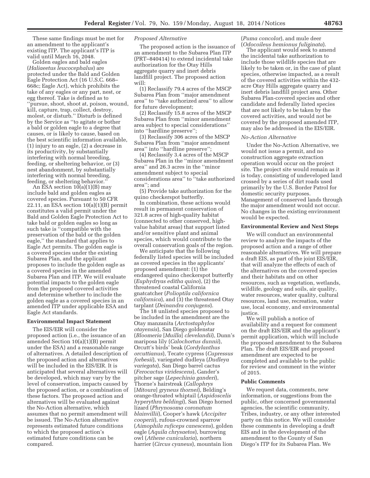These same findings must be met for an amendment to the applicant's existing ITP. The applicant's ITP is valid until March 16, 2048.

Golden eagles and bald eagles (*Haliaeetus leucocephalus*) are protected under the Bald and Golden Eagle Protection Act (16 U.S.C. 668– 668c; Eagle Act), which prohibits the take of any eagles or any part, nest, or egg thereof. Take is defined as to ''pursue, shoot, shoot at, poison, wound, kill, capture, trap, collect, destroy, molest, or disturb.'' Disturb is defined by the Service as ''to agitate or bother a bald or golden eagle to a degree that causes, or is likely to cause, based on the best scientific information available, (1) injury to an eagle, (2) a decrease in its productivity, by substantially interfering with normal breeding, feeding, or sheltering behavior, or (3) nest abandonment, by substantially interfering with normal breeding, feeding, or sheltering behavior.''

An ESA section  $10(a)(1)(B)$  may include bald and golden eagles as covered species. Pursuant to 50 CFR 22.11, an ESA section  $10(a)(1)(B)$  permit constitutes a valid permit under the Bald and Golden Eagle Protection Act to take bald or golden eagles so long as such take is ''compatible with the preservation of the bald or the golden eagle,'' the standard that applies to Eagle Act permits. The golden eagle is a covered species under the existing Subarea Plan, and the applicant proposes to include the golden eagle as a covered species in the amended Subarea Plan and ITP. We will evaluate potential impacts to the golden eagle from the proposed covered activities and determine whether to include the golden eagle as a covered species in an amended ITP under applicable ESA and Eagle Act standards.

#### **Environmental Impact Statement**

The EIS/EIR will consider the proposed action (i.e., the issuance of an amended Section 10(a)(1)(B) permit under the ESA) and a reasonable range of alternatives. A detailed description of the proposed action and alternatives will be included in the EIS/EIR. It is anticipated that several alternatives will be developed, which may vary by the level of conservation, impacts caused by the proposed action, or a combination of these factors. The proposed action and alternatives will be evaluated against the No-Action alternative, which assumes that no permit amendment will be issued. The No-Action alternative represents estimated future conditions to which the proposed action's estimated future conditions can be compared.

#### *Proposed Alternative*

The proposed action is the issuance of an amendment to the Subarea Plan ITP (PRT–840414) to extend incidental take authorization for the Otay Hills aggregate quarry and inert debris landfill project. The proposed action will:

(1) Reclassify 79.4 acres of the MSCP Subarea Plan from ''major amendment area'' to ''take authorized area'' to allow for future development;

(2) Reclassify 15.8 acres of the MSCP Subarea Plan from ''minor amendment area subject to special considerations'' into ''hardline preserve'';

(3) Reclassify 306 acres of the MSCP Subarea Plan from ''major amendment area'' into ''hardline preserve'';

(4) Reclassify 3.4 acres of the MSCP Subarea Plan in the ''minor amendment area'' and 26.3 acres in the ''minor amendment subject to special considerations area'' to ''take authorized area''; and

(5) Provide take authorization for the quino checkerspot butterfly.

In combination, these actions would result in permanent conservation of 321.8 acres of high-quality habitat (connected to other conserved, highvalue habitat areas) that support listed and/or sensitive plant and animal species, which would contribute to the overall conservation goals of the region.

We anticipate that the following federally listed species will be included as covered species in the applicants' proposed amendment: (1) the endangered quino checkerspot butterfly (*Euphydryas editha quino*), (2) the threatened coastal California gnatcatcher (*Polioptila californica californica*), and (3) the threatened Otay tarplant (*Deinandra conjugens*).

The 18 unlisted species proposed to be included in the amendment are the Otay manzanita (*Arctostaphylos otayensis*), San Diego goldenstar (*Bloomeria* [*Muilla*] *clevelandii*), Dunn's mariposa lily (*Calochortus dunnii*), Orcutt's birds' beak (*Cordylanthus orcuttianus*), Tecate cypress (*Cupressus forbesii*), variegated dudleya (*Dudleya variegata*), San Diego barrel cactus (*Ferocactus viridescens*), Gander's pitcher sage (*Lepechinia ganderi*), Thorne's hairstreak (*Callophrys*  [*Mitoura*] *gryneus thornei*), Belding's orange-throated whiptail (*Aspidoscelis hyperythra beldingi*), San Diego horned lizard (*Phrynosoma coronatum blainvillii*), Cooper's hawk (*Accipiter cooperii*), rufous-crowned sparrow (*Aimophila ruficeps canescens*), golden eagle (*Aquila chrysaetos*), burrowing owl (*Athene cunicularia*), northern harrier (*Circus cyaneus*), mountain lion

#### (*Puma concolor*), and mule deer (*Odocoileus hemionus fuliginata*).

The applicant would seek to amend the incidental take authorization to include those wildlife species that are likely to be taken or, in the case of plant species, otherwise impacted, as a result of the covered activities within the 432 acre Otay Hills aggregate quarry and inert debris landfill project area. Other Subarea Plan-covered species and other candidate and federally listed species that are not likely to be taken by the covered activities, and would not be covered by the proposed amended ITP, may also be addressed in the EIS/EIR.

#### *No-Action Alternative*

Under the No-Action Alternative, we would not issue a permit, and no construction aggregate extraction operation would occur on the project site. The project site would remain as it is today, consisting of undeveloped land crossed by a series of dirt roads used primarily by the U.S. Border Patrol for domestic security purposes. Management of conserved lands through the major amendment would not occur. No changes in the existing environment would be expected.

#### **Environmental Review and Next Steps**

We will conduct an environmental review to analyze the impacts of the proposed action and a range of other reasonable alternatives. We will prepare a draft EIS, as part of the joint EIS/EIR, that will analyze the effects of each of the alternatives on the covered species and their habitats and on other resources, such as vegetation, wetlands, wildlife, geology and soils, air quality, water resources, water quality, cultural resources, land use, recreation, water use, local economy, and environmental justice.

We will publish a notice of availability and a request for comment on the draft EIS/EIR and the applicant's permit application, which will include the proposed amendment to the Subarea Plan. The draft EIS/EIR and proposed amendment are expected to be completed and available to the public for review and comment in the winter of 2015.

#### **Public Comments**

We request data, comments, new information, or suggestions from the public, other concerned governmental agencies, the scientific community, Tribes, industry, or any other interested party on this notice. We will consider these comments in developing a draft EIS and in the development of the amendment to the County of San Diego's ITP for its Subarea Plan. We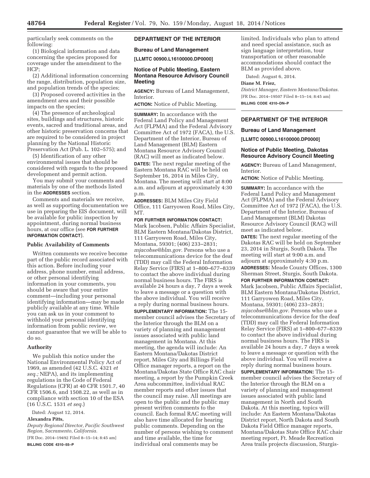particularly seek comments on the following:

(1) Biological information and data concerning the species proposed for coverage under the amendment to the HCP;

(2) Additional information concerning the range, distribution, population size, and population trends of the species;

(3) Proposed covered activities in the amendment area and their possible impacts on the species;

(4) The presence of archeological sites, buildings and structures, historic events, sacred and traditional areas, and other historic preservation concerns that are required to be considered in project planning by the National Historic Preservation Act (Pub. L. 102–575); and

(5) Identification of any other environmental issues that should be considered with regards to the proposed development and permit action.

You may submit your comments and materials by one of the methods listed in the **ADDRESSES** section.

Comments and materials we receive, as well as supporting documentation we use in preparing the EIS document, will be available for public inspection by appointment, during normal business hours, at our office (see **FOR FURTHER INFORMATION CONTACT**).

## **Public Availability of Comments**

Written comments we receive become part of the public record associated with this action. Before including your address, phone number, email address, or other personal identifying information in your comments, you should be aware that your entire comment—including your personal identifying information—may be made publicly available at any time. While you can ask us in your comment to withhold your personal identifying information from public review, we cannot guarantee that we will be able to do so.

#### **Authority**

We publish this notice under the National Environmental Policy Act of 1969, as amended (42 U.S.C. 4321 *et seq.;* NEPA), and its implementing regulations in the Code of Federal Regulations (CFR) at 40 CFR 1501.7, 40 CFR 1506.6, and 1508.22, as well as in compliance with section 10 of the ESA (16 U.S.C. 1531 *et seq.*)

Dated: August 12, 2014.

## **Alexandra Pitts,**

*Deputy Regional Director, Pacific Southwest Region, Sacramento, California.* 

[FR Doc. 2014–19492 Filed 8–15–14; 8:45 am] **BILLING CODE 4310–55–P** 

## **DEPARTMENT OF THE INTERIOR**

### **Bureau of Land Management**

**[LLMTC 00900.L16100000.DP0000]** 

### **Notice of Public Meeting, Eastern Montana Resource Advisory Council Meeting**

**AGENCY:** Bureau of Land Management, Interior.

**ACTION:** Notice of Public Meeting.

**SUMMARY:** In accordance with the Federal Land Policy and Management Act (FLPMA) and the Federal Advisory Committee Act of 1972 (FACA), the U.S. Department of the Interior, Bureau of Land Management (BLM) Eastern Montana Resource Advisory Council (RAC) will meet as indicated below. **DATES:** The next regular meeting of the Eastern Montana RAC will be held on September 16, 2014 in Miles City, Montana. The meeting will start at 8:00 a.m. and adjourn at approximately 4:30 p.m.

**ADDRESSES:** BLM Miles City Field Office, 111 Garryowen Road, Miles City, MT.

**FOR FURTHER INFORMATION CONTACT:**  Mark Jacobsen, Public Affairs Specialist, BLM Eastern Montana/Dakotas District, 111 Garryowen Road, Miles City, Montana, 59301; (406) 233–2831; *mjacobse@blm.gov.* Persons who use a telecommunications device for the deaf (TDD) may call the Federal Information Relay Service (FIRS) at 1–800–677–8339 to contact the above individual during normal business hours. The FIRS is available 24 hours a day, 7 days a week to leave a message or a question with the above individual. You will receive a reply during normal business hours. **SUPPLEMENTARY INFORMATION:** The 15 member council advises the Secretary of the Interior through the BLM on a variety of planning and management issues associated with public land management in Montana. At this meeting, the agenda will include: An Eastern Montana/Dakotas District report, Miles City and Billings Field Office manager reports, a report on the Montana/Dakotas State Office RAC chair meeting, a report by the Pumpkin Creek Area subcommittee, individual RAC member reports and other issues that the council may raise. All meetings are open to the public and the public may present written comments to the council. Each formal RAC meeting will also have time allocated for hearing public comments. Depending on the number of persons wishing to comment and time available, the time for individual oral comments may be

limited. Individuals who plan to attend and need special assistance, such as sign language interpretation, tour transportation or other reasonable accommodations should contact the BLM as provided above.

Dated: August 6, 2014.

#### **Diane M. Friez,**

*District Manager, Eastern Montana/Dakotas.*  [FR Doc. 2014–19507 Filed 8–15–14; 8:45 am] **BILLING CODE 4310–DN–P** 

## **DEPARTMENT OF THE INTERIOR**

#### **Bureau of Land Management**

**[LLMTC 00900.L16100000.DP0000]** 

### **Notice of Public Meeting, Dakotas Resource Advisory Council Meeting**

**AGENCY:** Bureau of Land Management, Interior.

**ACTION:** Notice of Public Meeting.

**SUMMARY:** In accordance with the Federal Land Policy and Management Act (FLPMA) and the Federal Advisory Committee Act of 1972 (FACA), the U.S. Department of the Interior, Bureau of Land Management (BLM) Dakotas Resource Advisory Council (RAC) will meet as indicated below.

**DATES:** The next regular meeting of the Dakotas RAC will be held on September 23, 2014 in Sturgis, South Dakota. The meeting will start at 9:00 a.m. and adjourn at approximately 4:30 p.m. **ADDRESSES:** Meade County Offices, 1300 Sherman Street, Sturgis, South Dakota.

**FOR FURTHER INFORMATION CONTACT:** 

Mark Jacobsen, Public Affairs Specialist, BLM Eastern Montana/Dakotas District, 111 Garryowen Road, Miles City, Montana, 59301; (406) 233–2831; *mjacobse@blm.gov.* Persons who use a telecommunications device for the deaf (TDD) may call the Federal Information Relay Service (FIRS) at 1–800–677–8339 to contact the above individual during normal business hours. The FIRS is available 24 hours a day, 7 days a week to leave a message or question with the above individual. You will receive a reply during normal business hours.

**SUPPLEMENTARY INFORMATION:** The 15 member council advises the Secretary of the Interior through the BLM on a variety of planning and management issues associated with public land management in North and South Dakota. At this meeting, topics will include: An Eastern Montana/Dakotas District report, North Dakota and South Dakota Field Office manager reports, Montana/Dakotas State Office RAC chair meeting report, Ft. Meade Recreation Area trails projects discussion, Sturgis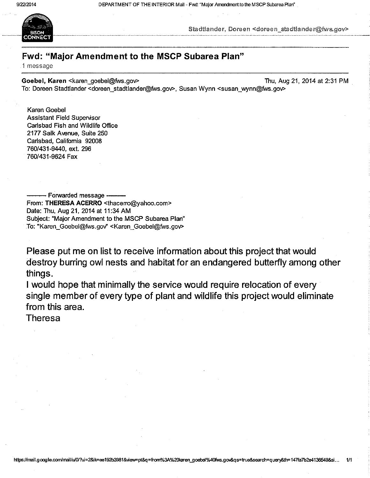DEPARTMENT OF THE INTERIOR Mail - Fwd: "Major Amendment to the MSCP Subarea Plan"



Stadtlander, Doreen <doreen stadtlander@fws.gov>

## Fwd: "Major Amendment to the MSCP Subarea Plan"

1 message

Goebel, Karen <karen goebel@fws.gov> Thu, Aug 21, 2014 at 2:31 PM To: Doreen Stadtlander < doreen stadtlander@fws.gov>, Susan Wynn < susan wynn@fws.gov>

**Karen Goebel Assistant Field Supervisor** Carlsbad Fish and Wildlife Office 2177 Salk Avenue, Suite 250 Carlsbad, California 92008 760/431-9440, ext. 296 760/431-9624 Fax

- Forwarded message · From: THERESA ACERRO <thacerro@yahoo.com> Date: Thu, Aug 21, 2014 at 11:34 AM Subject: "Major Amendment to the MSCP Subarea Plan" To: "Karen Goebel@fws.gov" <Karen Goebel@fws.gov>

Please put me on list to receive information about this project that would destroy burring owl nests and habitat for an endangered butterfly among other things.

I would hope that minimally the service would require relocation of every single member of every type of plant and wildlife this project would eliminate from this area.

**Theresa**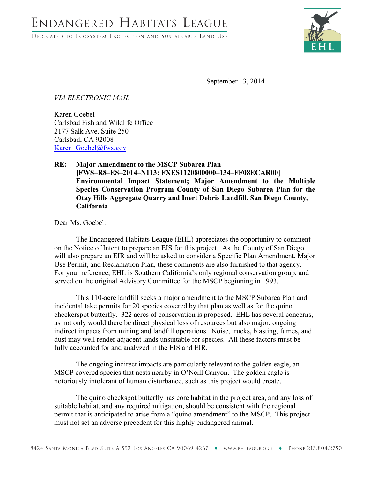DEDICATED TO ECOSYSTEM PROTECTION AND SUSTAINABLE LAND USE



September 13, 2014

*VIA ELECTRONIC MAIL*

Karen Goebel Carlsbad Fish and Wildlife Office 2177 Salk Ave, Suite 250 Carlsbad, CA 92008 Karen\_Goebel@fws.gov

## **RE: Major Amendment to the MSCP Subarea Plan [FWS–R8–ES–2014–N113: FXES1120800000–134–FF08ECAR00] Environmental Impact Statement; Major Amendment to the Multiple Species Conservation Program County of San Diego Subarea Plan for the Otay Hills Aggregate Quarry and Inert Debris Landfill, San Diego County, California**

Dear Ms. Goebel:

The Endangered Habitats League (EHL) appreciates the opportunity to comment on the Notice of Intent to prepare an EIS for this project. As the County of San Diego will also prepare an EIR and will be asked to consider a Specific Plan Amendment, Major Use Permit, and Reclamation Plan, these comments are also furnished to that agency. For your reference, EHL is Southern California's only regional conservation group, and served on the original Advisory Committee for the MSCP beginning in 1993.

This 110-acre landfill seeks a major amendment to the MSCP Subarea Plan and incidental take permits for 20 species covered by that plan as well as for the quino checkerspot butterfly. 322 acres of conservation is proposed. EHL has several concerns, as not only would there be direct physical loss of resources but also major, ongoing indirect impacts from mining and landfill operations. Noise, trucks, blasting, fumes, and dust may well render adjacent lands unsuitable for species. All these factors must be fully accounted for and analyzed in the EIS and EIR.

The ongoing indirect impacts are particularly relevant to the golden eagle, an MSCP covered species that nests nearby in O'Neill Canyon. The golden eagle is notoriously intolerant of human disturbance, such as this project would create.

The quino checkspot butterfly has core habitat in the project area, and any loss of suitable habitat, and any required mitigation, should be consistent with the regional permit that is anticipated to arise from a "quino amendment" to the MSCP. This project must not set an adverse precedent for this highly endangered animal.